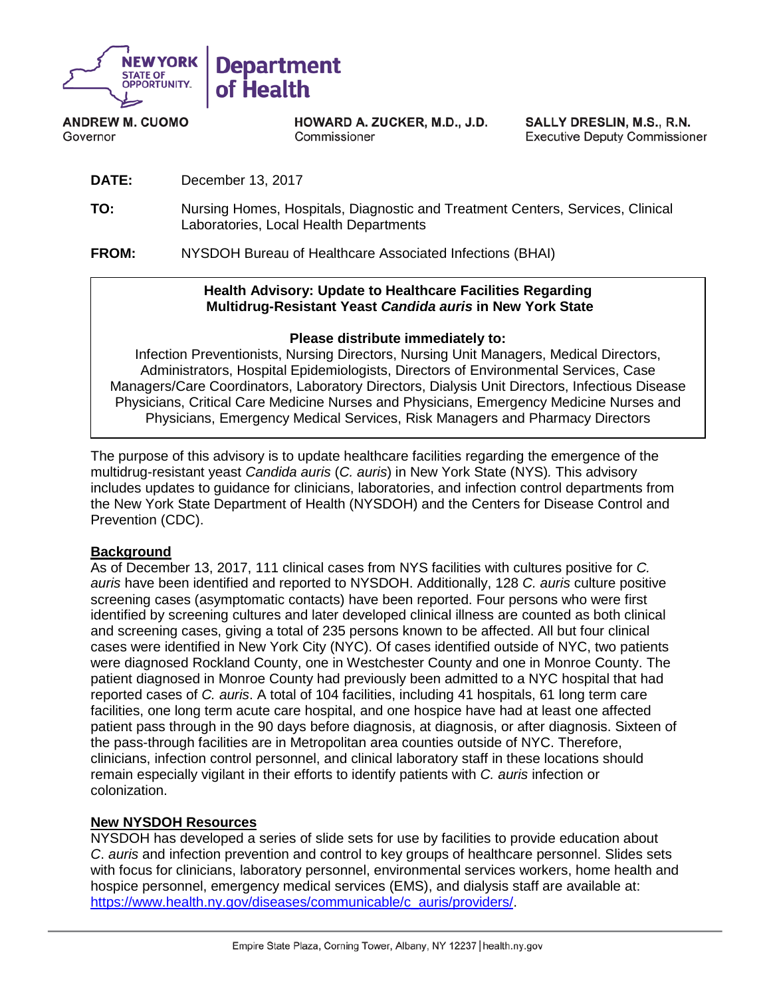

**ANDREW M. CUOMO** Governor

**HOWARD A. ZUCKER, M.D., J.D.** Commissioner

SALLY DRESLIN, M.S., R.N. **Executive Deputy Commissioner** 

- **DATE:** December 13, 2017
- **TO:** Nursing Homes, Hospitals, Diagnostic and Treatment Centers, Services, Clinical Laboratories, Local Health Departments

**FROM:** NYSDOH Bureau of Healthcare Associated Infections (BHAI)

#### **Health Advisory: Update to Healthcare Facilities Regarding Multidrug-Resistant Yeast** *Candida auris* **in New York State**

### **Please distribute immediately to:**

Infection Preventionists, Nursing Directors, Nursing Unit Managers, Medical Directors, Administrators, Hospital Epidemiologists, Directors of Environmental Services, Case Managers/Care Coordinators, Laboratory Directors, Dialysis Unit Directors, Infectious Disease Physicians, Critical Care Medicine Nurses and Physicians, Emergency Medicine Nurses and Physicians, Emergency Medical Services, Risk Managers and Pharmacy Directors

The purpose of this advisory is to update healthcare facilities regarding the emergence of the multidrug-resistant yeast *Candida auris* (*C. auris*) in New York State (NYS)*.* This advisory includes updates to guidance for clinicians, laboratories, and infection control departments from the New York State Department of Health (NYSDOH) and the Centers for Disease Control and Prevention (CDC).

### **Background**

As of December 13, 2017, 111 clinical cases from NYS facilities with cultures positive for *C. auris* have been identified and reported to NYSDOH. Additionally, 128 *C. auris* culture positive screening cases (asymptomatic contacts) have been reported. Four persons who were first identified by screening cultures and later developed clinical illness are counted as both clinical and screening cases, giving a total of 235 persons known to be affected. All but four clinical cases were identified in New York City (NYC). Of cases identified outside of NYC, two patients were diagnosed Rockland County, one in Westchester County and one in Monroe County. The patient diagnosed in Monroe County had previously been admitted to a NYC hospital that had reported cases of *C. auris*. A total of 104 facilities, including 41 hospitals, 61 long term care facilities, one long term acute care hospital, and one hospice have had at least one affected patient pass through in the 90 days before diagnosis, at diagnosis, or after diagnosis. Sixteen of the pass-through facilities are in Metropolitan area counties outside of NYC. Therefore, clinicians, infection control personnel, and clinical laboratory staff in these locations should remain especially vigilant in their efforts to identify patients with *C. auris* infection or colonization.

### **New NYSDOH Resources**

NYSDOH has developed a series of slide sets for use by facilities to provide education about *C*. *auris* and infection prevention and control to key groups of healthcare personnel. Slides sets with focus for clinicians, laboratory personnel, environmental services workers, home health and hospice personnel, emergency medical services (EMS), and dialysis staff are available at: [https://www.health.ny.gov/diseases/communicable/c\\_auris/providers/.](https://www.health.ny.gov/diseases/communicable/c_auris/providers/)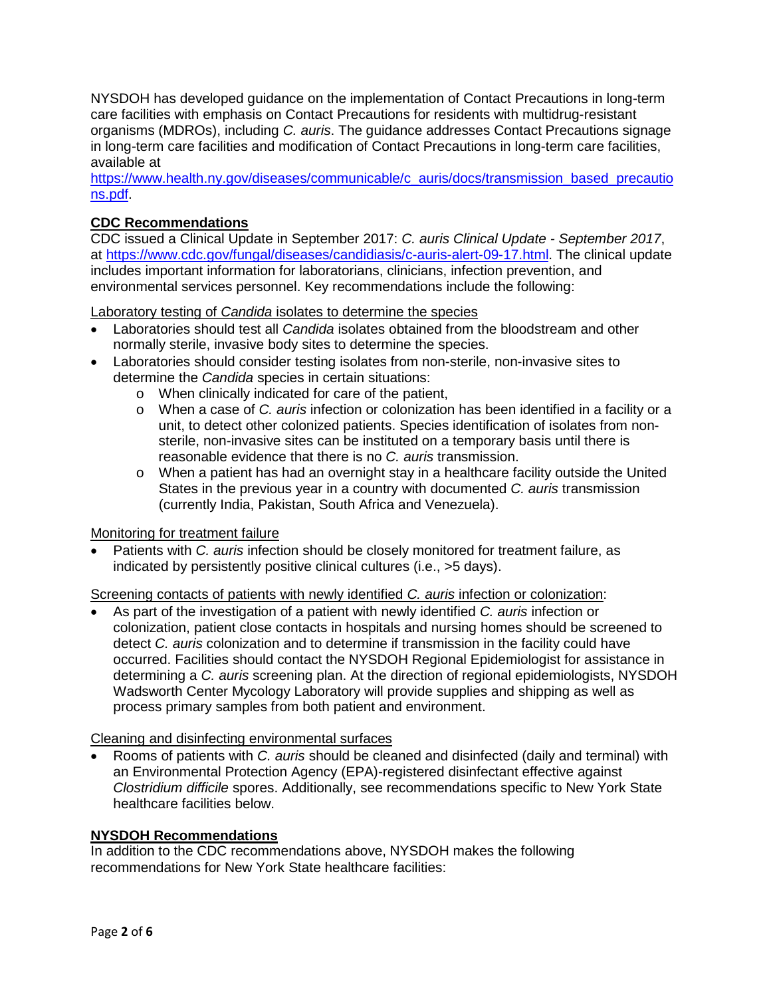NYSDOH has developed guidance on the implementation of Contact Precautions in long-term care facilities with emphasis on Contact Precautions for residents with multidrug-resistant organisms (MDROs), including *C. auris*. The guidance addresses Contact Precautions signage in long-term care facilities and modification of Contact Precautions in long-term care facilities, available at

[https://www.health.ny.gov/diseases/communicable/c\\_auris/docs/transmission\\_based\\_precautio](https://www.health.ny.gov/diseases/communicable/c_auris/docs/transmission_based_precautions.pdf) [ns.pdf.](https://www.health.ny.gov/diseases/communicable/c_auris/docs/transmission_based_precautions.pdf)

## **CDC Recommendations**

CDC issued a Clinical Update in September 2017: *C. auris Clinical Update - September 2017*, at [https://www.cdc.gov/fungal/diseases/candidiasis/c-auris-alert-09-17.html.](https://www.cdc.gov/fungal/diseases/candidiasis/c-auris-alert-09-17.html) The clinical update includes important information for laboratorians, clinicians, infection prevention, and environmental services personnel. Key recommendations include the following:

Laboratory testing of *Candida* isolates to determine the species

- Laboratories should test all *Candida* isolates obtained from the bloodstream and other normally sterile, invasive body sites to determine the species.
- Laboratories should consider testing isolates from non-sterile, non-invasive sites to determine the *Candida* species in certain situations:
	- o When clinically indicated for care of the patient,
	- o When a case of *C. auris* infection or colonization has been identified in a facility or a unit, to detect other colonized patients. Species identification of isolates from nonsterile, non-invasive sites can be instituted on a temporary basis until there is reasonable evidence that there is no *C. auris* transmission.
	- $\circ$  When a patient has had an overnight stay in a healthcare facility outside the United States in the previous year in a country with documented *C. auris* transmission (currently India, Pakistan, South Africa and Venezuela).

Monitoring for treatment failure

• Patients with *C. auris* infection should be closely monitored for treatment failure, as indicated by persistently positive clinical cultures (i.e., >5 days).

Screening contacts of patients with newly identified *C. auris* infection or colonization:

• As part of the investigation of a patient with newly identified *C. auris* infection or colonization, patient close contacts in hospitals and nursing homes should be screened to detect *C. auris* colonization and to determine if transmission in the facility could have occurred. Facilities should contact the NYSDOH Regional Epidemiologist for assistance in determining a *C. auris* screening plan. At the direction of regional epidemiologists, NYSDOH Wadsworth Center Mycology Laboratory will provide supplies and shipping as well as process primary samples from both patient and environment.

#### Cleaning and disinfecting environmental surfaces

• Rooms of patients with *C. auris* should be cleaned and disinfected (daily and terminal) with an Environmental Protection Agency (EPA[\)-registered disinfectant effective against](https://www.epa.gov/pesticide-registration/list-k-epas-registered-antimicrobial-products-effective-against-clostridium)  *[Clostridium difficile](https://www.epa.gov/pesticide-registration/list-k-epas-registered-antimicrobial-products-effective-against-clostridium)* spores. Additionally, see recommendations specific to New York State healthcare facilities below.

#### **NYSDOH Recommendations**

In addition to the CDC recommendations above, NYSDOH makes the following recommendations for New York State healthcare facilities: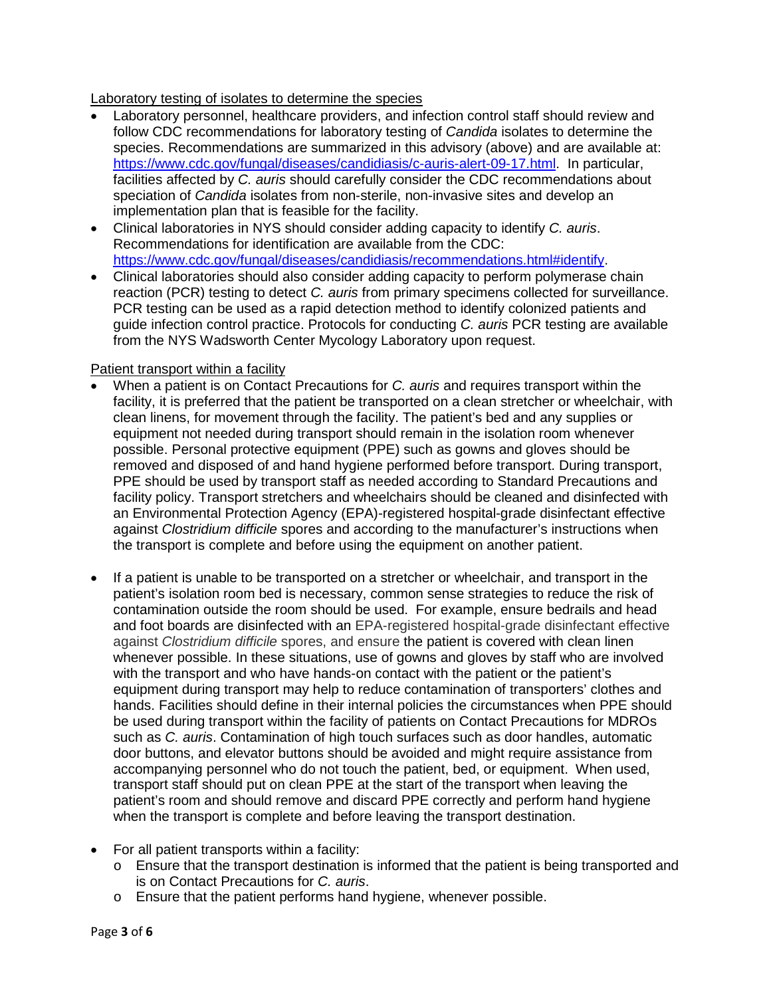## Laboratory testing of isolates to determine the species

- Laboratory personnel, healthcare providers, and infection control staff should review and follow CDC recommendations for laboratory testing of *Candida* isolates to determine the species. Recommendations are summarized in this advisory (above) and are available at: [https://www.cdc.gov/fungal/diseases/candidiasis/c-auris-alert-09-17.html.](https://www.cdc.gov/fungal/diseases/candidiasis/c-auris-alert-09-17.html) In particular, facilities affected by *C. auris* should carefully consider the CDC recommendations about speciation of *Candida* isolates from non-sterile, non-invasive sites and develop an implementation plan that is feasible for the facility.
- Clinical laboratories in NYS should consider adding capacity to identify *C. auris*. Recommendations for identification are available from the CDC: [https://www.cdc.gov/fungal/diseases/candidiasis/recommendations.html#identify.](https://www.cdc.gov/fungal/diseases/candidiasis/recommendations.html#identify)
- Clinical laboratories should also consider adding capacity to perform polymerase chain reaction (PCR) testing to detect *C. auris* from primary specimens collected for surveillance. PCR testing can be used as a rapid detection method to identify colonized patients and guide infection control practice. Protocols for conducting *C. auris* PCR testing are available from the NYS Wadsworth Center Mycology Laboratory upon request.

### Patient transport within a facility

- When a patient is on Contact Precautions for *C. auris* and requires transport within the facility, it is preferred that the patient be transported on a clean stretcher or wheelchair, with clean linens, for movement through the facility. The patient's bed and any supplies or equipment not needed during transport should remain in the isolation room whenever possible. Personal protective equipment (PPE) such as gowns and gloves should be removed and disposed of and hand hygiene performed before transport. During transport, PPE should be used by transport staff as needed according to Standard Precautions and facility policy. Transport stretchers and wheelchairs should be cleaned and disinfected with an Environmental Protection Agency (EPA)-registered hospital-grade disinfectant effective against *Clostridium difficile* spores and according to the manufacturer's instructions when the transport is complete and before using the equipment on another patient.
- If a patient is unable to be transported on a stretcher or wheelchair, and transport in the patient's isolation room bed is necessary, common sense strategies to reduce the risk of contamination outside the room should be used. For example, ensure bedrails and head and foot boards are disinfected with an EPA-registered hospital-grade disinfectant effective against *Clostridium difficile* spores, and ensure the patient is covered with clean linen whenever possible. In these situations, use of gowns and gloves by staff who are involved with the transport and who have hands-on contact with the patient or the patient's equipment during transport may help to reduce contamination of transporters' clothes and hands. Facilities should define in their internal policies the circumstances when PPE should be used during transport within the facility of patients on Contact Precautions for MDROs such as *C. auris*. Contamination of high touch surfaces such as door handles, automatic door buttons, and elevator buttons should be avoided and might require assistance from accompanying personnel who do not touch the patient, bed, or equipment. When used, transport staff should put on clean PPE at the start of the transport when leaving the patient's room and should remove and discard PPE correctly and perform hand hygiene when the transport is complete and before leaving the transport destination.
- For all patient transports within a facility:
	- o Ensure that the transport destination is informed that the patient is being transported and is on Contact Precautions for *C. auris*.
	- o Ensure that the patient performs hand hygiene, whenever possible.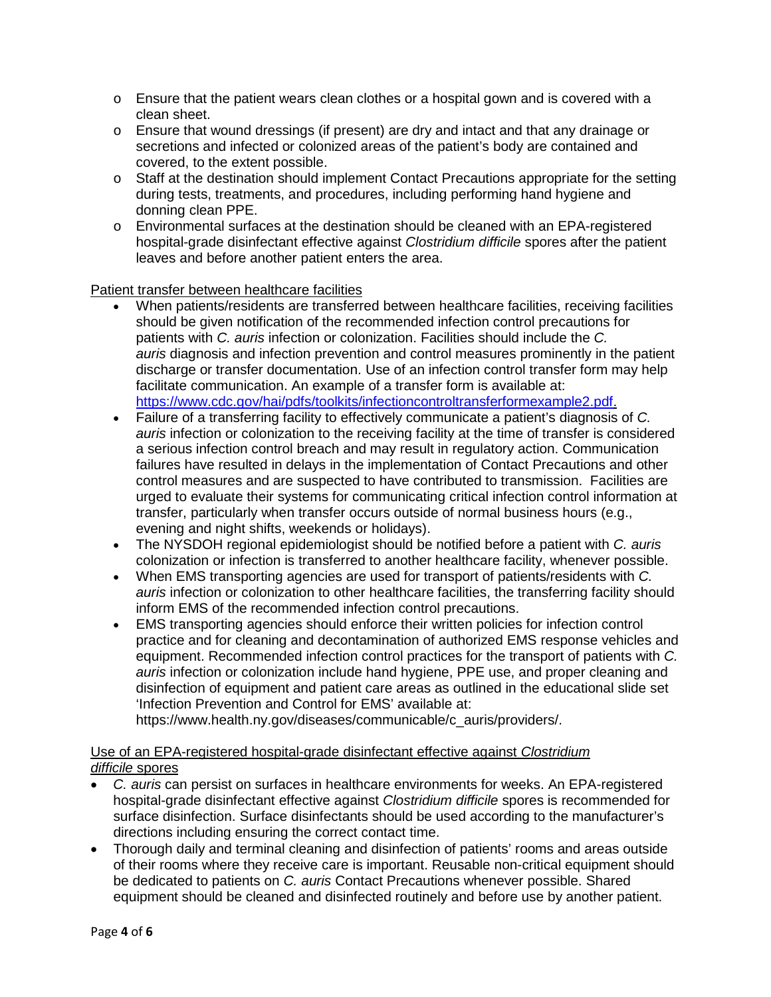- $\circ$  Ensure that the patient wears clean clothes or a hospital gown and is covered with a clean sheet.
- $\circ$  Ensure that wound dressings (if present) are dry and intact and that any drainage or secretions and infected or colonized areas of the patient's body are contained and covered, to the extent possible.
- o Staff at the destination should implement Contact Precautions appropriate for the setting during tests, treatments, and procedures, including performing hand hygiene and donning clean PPE.
- o Environmental surfaces at the destination should be cleaned with an EPA-registered hospital-grade disinfectant effective against *Clostridium difficile* spores after the patient leaves and before another patient enters the area.

Patient transfer between healthcare facilities

- When patients/residents are transferred between healthcare facilities, receiving facilities should be given notification of the recommended infection control precautions for patients with *C. auris* infection or colonization. Facilities should include the *C. auris* diagnosis and infection prevention and control measures prominently in the patient discharge or transfer documentation. Use of an infection control transfer form may help facilitate communication. An example of a transfer form is available at: [https://www.cdc.gov/hai/pdfs/toolkits/infectioncontroltransferformexample2.pdf.](https://www.cdc.gov/hai/pdfs/toolkits/infectioncontroltransferformexample2.pdf)
- Failure of a transferring facility to effectively communicate a patient's diagnosis of *C. auris* infection or colonization to the receiving facility at the time of transfer is considered a serious infection control breach and may result in regulatory action. Communication failures have resulted in delays in the implementation of Contact Precautions and other control measures and are suspected to have contributed to transmission. Facilities are urged to evaluate their systems for communicating critical infection control information at transfer, particularly when transfer occurs outside of normal business hours (e.g., evening and night shifts, weekends or holidays).
- The NYSDOH regional epidemiologist should be notified before a patient with *C. auris* colonization or infection is transferred to another healthcare facility, whenever possible.
- When EMS transporting agencies are used for transport of patients/residents with *C. auris* infection or colonization to other healthcare facilities, the transferring facility should inform EMS of the recommended infection control precautions.
- EMS transporting agencies should enforce their written policies for infection control practice and for cleaning and decontamination of authorized EMS response vehicles and equipment. Recommended infection control practices for the transport of patients with *C. auris* infection or colonization include hand hygiene, PPE use, and proper cleaning and disinfection of equipment and patient care areas as outlined in the educational slide set 'Infection Prevention and Control for EMS' available at:

https://www.health.ny.gov/diseases/communicable/c\_auris/providers/.

# Use of an EPA-registered hospital-grade disinfectant effective against *Clostridium difficile* spores

- *C. auris* can persist on surfaces in healthcare environments for weeks. An EPA-registered hospital-grade disinfectant effective against *Clostridium difficile* spores is recommended for surface disinfection. Surface disinfectants should be used according to the manufacturer's directions including ensuring the correct contact time.
- Thorough daily and terminal cleaning and disinfection of patients' rooms and areas outside of their rooms where they receive care is important. Reusable non-critical equipment should be dedicated to patients on *C. auris* Contact Precautions whenever possible. Shared equipment should be cleaned and disinfected routinely and before use by another patient.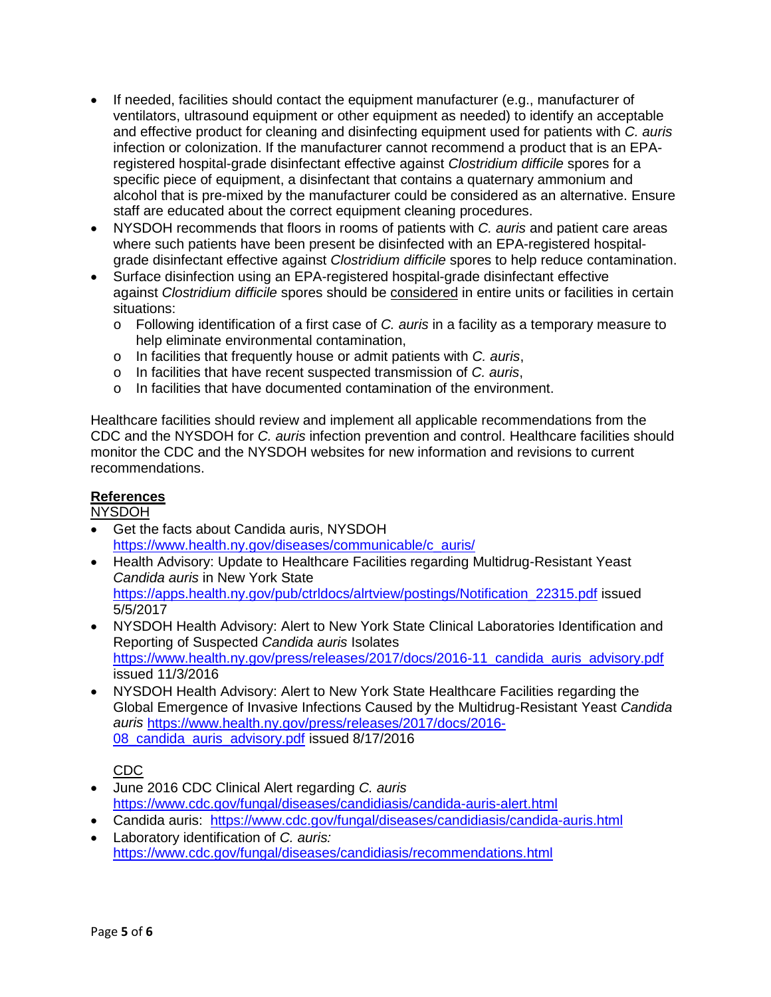- If needed, facilities should contact the equipment manufacturer (e.g., manufacturer of ventilators, ultrasound equipment or other equipment as needed) to identify an acceptable and effective product for cleaning and disinfecting equipment used for patients with *C. auris* infection or colonization. If the manufacturer cannot recommend a product that is an EPAregistered hospital-grade disinfectant effective against *Clostridium difficile* spores for a specific piece of equipment, a disinfectant that contains a quaternary ammonium and alcohol that is pre-mixed by the manufacturer could be considered as an alternative. Ensure staff are educated about the correct equipment cleaning procedures.
- NYSDOH recommends that floors in rooms of patients with *C. auris* and patient care areas where such patients have been present be disinfected with an EPA-registered hospitalgrade disinfectant effective against *Clostridium difficile* spores to help reduce contamination.
- Surface disinfection using an EPA-registered hospital-grade disinfectant effective against *Clostridium difficile* spores should be considered in entire units or facilities in certain situations:
	- o Following identification of a first case of *C. auris* in a facility as a temporary measure to help eliminate environmental contamination,
	- o In facilities that frequently house or admit patients with *C. auris*,
	- o In facilities that have recent suspected transmission of *C. auris*,
	- o In facilities that have documented contamination of the environment.

Healthcare facilities should review and implement all applicable recommendations from the CDC and the NYSDOH for *C. auris* infection prevention and control. Healthcare facilities should monitor the CDC and the NYSDOH websites for new information and revisions to current recommendations.

## **References**

### NYSDOH

- Get the facts about Candida auris, NYSDOH [https://www.health.ny.gov/diseases/communicable/c\\_auris/](https://www.health.ny.gov/diseases/communicable/c_auris/)
- Health Advisory: Update to Healthcare Facilities regarding Multidrug-Resistant Yeast *Candida auris* in New York State [https://apps.health.ny.gov/pub/ctrldocs/alrtview/postings/Notification\\_22315.pdf](https://apps.health.ny.gov/pub/ctrldocs/alrtview/postings/Notification_22315.pdf) issued 5/5/2017
- NYSDOH Health Advisory: Alert to New York State Clinical Laboratories Identification and Reporting of Suspected *Candida auris* Isolates [https://www.health.ny.gov/press/releases/2017/docs/2016-11\\_candida\\_auris\\_advisory.pdf](https://www.health.ny.gov/press/releases/2017/docs/2016-11_candida_auris_advisory.pdf) issued 11/3/2016
- NYSDOH Health Advisory: Alert to New York State Healthcare Facilities regarding the Global Emergence of Invasive Infections Caused by the Multidrug-Resistant Yeast *Candida auris* [https://www.health.ny.gov/press/releases/2017/docs/2016-](https://www.health.ny.gov/press/releases/2017/docs/2016-08_candida_auris_advisory.pdf) [08\\_candida\\_auris\\_advisory.pdf](https://www.health.ny.gov/press/releases/2017/docs/2016-08_candida_auris_advisory.pdf) issued 8/17/2016

# CDC

- June 2016 CDC Clinical Alert regarding *C. auris* <https://www.cdc.gov/fungal/diseases/candidiasis/candida-auris-alert.html>
- Candida auris: <https://www.cdc.gov/fungal/diseases/candidiasis/candida-auris.html>
- Laboratory identification of *C. auris:*  <https://www.cdc.gov/fungal/diseases/candidiasis/recommendations.html>